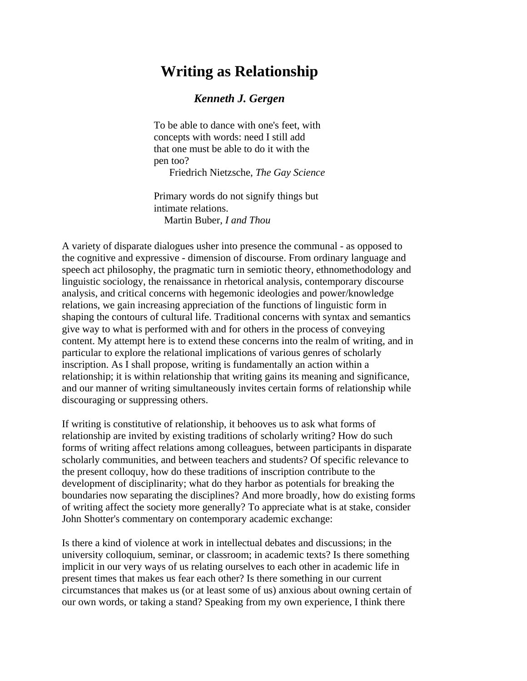# **Writing as Relationship**

# *Kenneth J. Gergen*

To be able to dance with one's feet, with concepts with words: need I still add that one must be able to do it with the pen too? Friedrich Nietzsche, *The Gay Science*

Primary words do not signify things but intimate relations. Martin Buber, *I and Thou*

A variety of disparate dialogues usher into presence the communal - as opposed to the cognitive and expressive - dimension of discourse. From ordinary language and speech act philosophy, the pragmatic turn in semiotic theory, ethnomethodology and linguistic sociology, the renaissance in rhetorical analysis, contemporary discourse analysis, and critical concerns with hegemonic ideologies and power/knowledge relations, we gain increasing appreciation of the functions of linguistic form in shaping the contours of cultural life. Traditional concerns with syntax and semantics give way to what is performed with and for others in the process of conveying content. My attempt here is to extend these concerns into the realm of writing, and in particular to explore the relational implications of various genres of scholarly inscription. As I shall propose, writing is fundamentally an action within a relationship; it is within relationship that writing gains its meaning and significance, and our manner of writing simultaneously invites certain forms of relationship while discouraging or suppressing others.

If writing is constitutive of relationship, it behooves us to ask what forms of relationship are invited by existing traditions of scholarly writing? How do such forms of writing affect relations among colleagues, between participants in disparate scholarly communities, and between teachers and students? Of specific relevance to the present colloquy, how do these traditions of inscription contribute to the development of disciplinarity; what do they harbor as potentials for breaking the boundaries now separating the disciplines? And more broadly, how do existing forms of writing affect the society more generally? To appreciate what is at stake, consider John Shotter's commentary on contemporary academic exchange:

Is there a kind of violence at work in intellectual debates and discussions; in the university colloquium, seminar, or classroom; in academic texts? Is there something implicit in our very ways of us relating ourselves to each other in academic life in present times that makes us fear each other? Is there something in our current circumstances that makes us (or at least some of us) anxious about owning certain of our own words, or taking a stand? Speaking from my own experience, I think there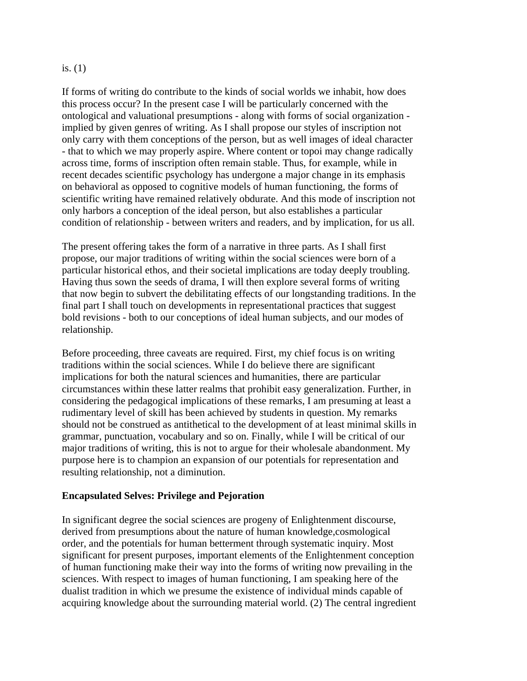#### is. (1)

If forms of writing do contribute to the kinds of social worlds we inhabit, how does this process occur? In the present case I will be particularly concerned with the ontological and valuational presumptions - along with forms of social organization implied by given genres of writing. As I shall propose our styles of inscription not only carry with them conceptions of the person, but as well images of ideal character - that to which we may properly aspire. Where content or topoi may change radically across time, forms of inscription often remain stable. Thus, for example, while in recent decades scientific psychology has undergone a major change in its emphasis on behavioral as opposed to cognitive models of human functioning, the forms of scientific writing have remained relatively obdurate. And this mode of inscription not only harbors a conception of the ideal person, but also establishes a particular condition of relationship - between writers and readers, and by implication, for us all.

The present offering takes the form of a narrative in three parts. As I shall first propose, our major traditions of writing within the social sciences were born of a particular historical ethos, and their societal implications are today deeply troubling. Having thus sown the seeds of drama, I will then explore several forms of writing that now begin to subvert the debilitating effects of our longstanding traditions. In the final part I shall touch on developments in representational practices that suggest bold revisions - both to our conceptions of ideal human subjects, and our modes of relationship.

Before proceeding, three caveats are required. First, my chief focus is on writing traditions within the social sciences. While I do believe there are significant implications for both the natural sciences and humanities, there are particular circumstances within these latter realms that prohibit easy generalization. Further, in considering the pedagogical implications of these remarks, I am presuming at least a rudimentary level of skill has been achieved by students in question. My remarks should not be construed as antithetical to the development of at least minimal skills in grammar, punctuation, vocabulary and so on. Finally, while I will be critical of our major traditions of writing, this is not to argue for their wholesale abandonment. My purpose here is to champion an expansion of our potentials for representation and resulting relationship, not a diminution.

#### **Encapsulated Selves: Privilege and Pejoration**

In significant degree the social sciences are progeny of Enlightenment discourse, derived from presumptions about the nature of human knowledge,cosmological order, and the potentials for human betterment through systematic inquiry. Most significant for present purposes, important elements of the Enlightenment conception of human functioning make their way into the forms of writing now prevailing in the sciences. With respect to images of human functioning, I am speaking here of the dualist tradition in which we presume the existence of individual minds capable of acquiring knowledge about the surrounding material world. (2) The central ingredient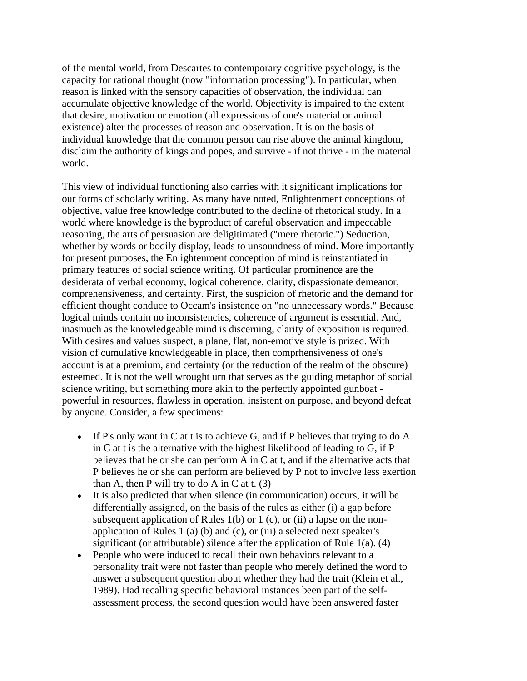of the mental world, from Descartes to contemporary cognitive psychology, is the capacity for rational thought (now "information processing"). In particular, when reason is linked with the sensory capacities of observation, the individual can accumulate objective knowledge of the world. Objectivity is impaired to the extent that desire, motivation or emotion (all expressions of one's material or animal existence) alter the processes of reason and observation. It is on the basis of individual knowledge that the common person can rise above the animal kingdom, disclaim the authority of kings and popes, and survive - if not thrive - in the material world.

This view of individual functioning also carries with it significant implications for our forms of scholarly writing. As many have noted, Enlightenment conceptions of objective, value free knowledge contributed to the decline of rhetorical study. In a world where knowledge is the byproduct of careful observation and impeccable reasoning, the arts of persuasion are deligitimated ("mere rhetoric.") Seduction, whether by words or bodily display, leads to unsoundness of mind. More importantly for present purposes, the Enlightenment conception of mind is reinstantiated in primary features of social science writing. Of particular prominence are the desiderata of verbal economy, logical coherence, clarity, dispassionate demeanor, comprehensiveness, and certainty. First, the suspicion of rhetoric and the demand for efficient thought conduce to Occam's insistence on "no unnecessary words." Because logical minds contain no inconsistencies, coherence of argument is essential. And, inasmuch as the knowledgeable mind is discerning, clarity of exposition is required. With desires and values suspect, a plane, flat, non-emotive style is prized. With vision of cumulative knowledgeable in place, then comprhensiveness of one's account is at a premium, and certainty (or the reduction of the realm of the obscure) esteemed. It is not the well wrought urn that serves as the guiding metaphor of social science writing, but something more akin to the perfectly appointed gunboat powerful in resources, flawless in operation, insistent on purpose, and beyond defeat by anyone. Consider, a few specimens:

- If P's only want in C at t is to achieve G, and if P believes that trying to do A in C at t is the alternative with the highest likelihood of leading to G, if P believes that he or she can perform A in C at t, and if the alternative acts that P believes he or she can perform are believed by P not to involve less exertion than A, then P will try to do A in C at t.  $(3)$
- It is also predicted that when silence (in communication) occurs, it will be differentially assigned, on the basis of the rules as either (i) a gap before subsequent application of Rules  $1(b)$  or  $1(c)$ , or (ii) a lapse on the nonapplication of Rules 1 (a) (b) and (c), or (iii) a selected next speaker's significant (or attributable) silence after the application of Rule  $1(a)$ . (4)
- People who were induced to recall their own behaviors relevant to a personality trait were not faster than people who merely defined the word to answer a subsequent question about whether they had the trait (Klein et al., 1989). Had recalling specific behavioral instances been part of the selfassessment process, the second question would have been answered faster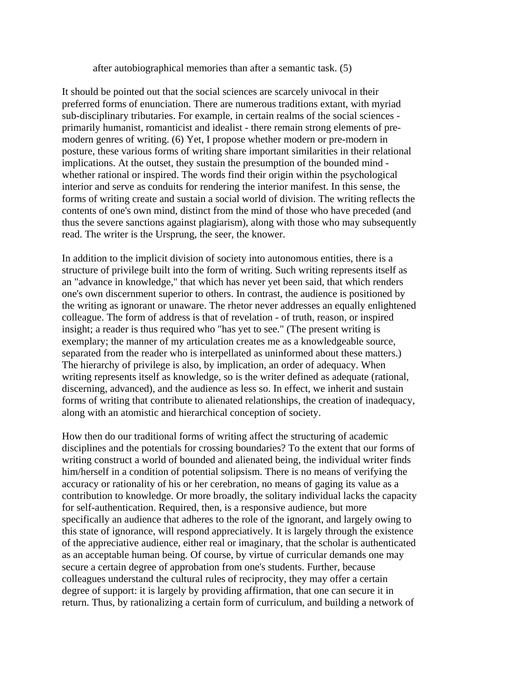after autobiographical memories than after a semantic task. (5)

It should be pointed out that the social sciences are scarcely univocal in their preferred forms of enunciation. There are numerous traditions extant, with myriad sub-disciplinary tributaries. For example, in certain realms of the social sciences primarily humanist, romanticist and idealist - there remain strong elements of premodern genres of writing. (6) Yet, I propose whether modern or pre-modern in posture, these various forms of writing share important similarities in their relational implications. At the outset, they sustain the presumption of the bounded mind whether rational or inspired. The words find their origin within the psychological interior and serve as conduits for rendering the interior manifest. In this sense, the forms of writing create and sustain a social world of division. The writing reflects the contents of one's own mind, distinct from the mind of those who have preceded (and thus the severe sanctions against plagiarism), along with those who may subsequently read. The writer is the Ursprung, the seer, the knower.

In addition to the implicit division of society into autonomous entities, there is a structure of privilege built into the form of writing. Such writing represents itself as an "advance in knowledge," that which has never yet been said, that which renders one's own discernment superior to others. In contrast, the audience is positioned by the writing as ignorant or unaware. The rhetor never addresses an equally enlightened colleague. The form of address is that of revelation - of truth, reason, or inspired insight; a reader is thus required who "has yet to see." (The present writing is exemplary; the manner of my articulation creates me as a knowledgeable source, separated from the reader who is interpellated as uninformed about these matters.) The hierarchy of privilege is also, by implication, an order of adequacy. When writing represents itself as knowledge, so is the writer defined as adequate (rational, discerning, advanced), and the audience as less so. In effect, we inherit and sustain forms of writing that contribute to alienated relationships, the creation of inadequacy, along with an atomistic and hierarchical conception of society.

How then do our traditional forms of writing affect the structuring of academic disciplines and the potentials for crossing boundaries? To the extent that our forms of writing construct a world of bounded and alienated being, the individual writer finds him/herself in a condition of potential solipsism. There is no means of verifying the accuracy or rationality of his or her cerebration, no means of gaging its value as a contribution to knowledge. Or more broadly, the solitary individual lacks the capacity for self-authentication. Required, then, is a responsive audience, but more specifically an audience that adheres to the role of the ignorant, and largely owing to this state of ignorance, will respond appreciatively. It is largely through the existence of the appreciative audience, either real or imaginary, that the scholar is authenticated as an acceptable human being. Of course, by virtue of curricular demands one may secure a certain degree of approbation from one's students. Further, because colleagues understand the cultural rules of reciprocity, they may offer a certain degree of support: it is largely by providing affirmation, that one can secure it in return. Thus, by rationalizing a certain form of curriculum, and building a network of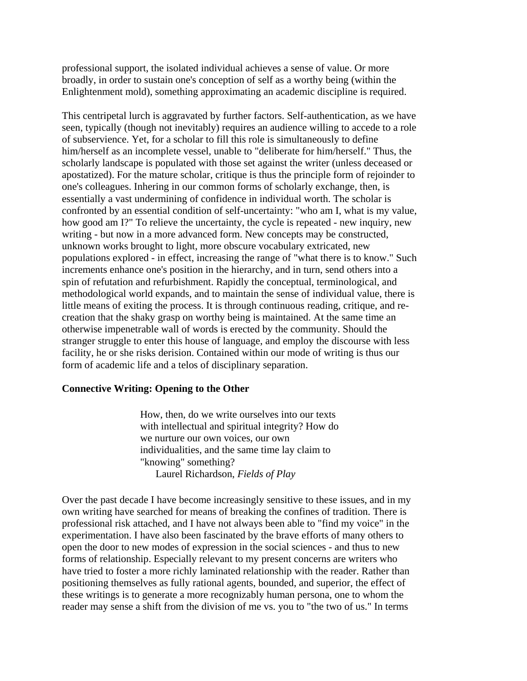professional support, the isolated individual achieves a sense of value. Or more broadly, in order to sustain one's conception of self as a worthy being (within the Enlightenment mold), something approximating an academic discipline is required.

This centripetal lurch is aggravated by further factors. Self-authentication, as we have seen, typically (though not inevitably) requires an audience willing to accede to a role of subservience. Yet, for a scholar to fill this role is simultaneously to define him/herself as an incomplete vessel, unable to "deliberate for him/herself." Thus, the scholarly landscape is populated with those set against the writer (unless deceased or apostatized). For the mature scholar, critique is thus the principle form of rejoinder to one's colleagues. Inhering in our common forms of scholarly exchange, then, is essentially a vast undermining of confidence in individual worth. The scholar is confronted by an essential condition of self-uncertainty: "who am I, what is my value, how good am I?" To relieve the uncertainty, the cycle is repeated - new inquiry, new writing - but now in a more advanced form. New concepts may be constructed, unknown works brought to light, more obscure vocabulary extricated, new populations explored - in effect, increasing the range of "what there is to know." Such increments enhance one's position in the hierarchy, and in turn, send others into a spin of refutation and refurbishment. Rapidly the conceptual, terminological, and methodological world expands, and to maintain the sense of individual value, there is little means of exiting the process. It is through continuous reading, critique, and recreation that the shaky grasp on worthy being is maintained. At the same time an otherwise impenetrable wall of words is erected by the community. Should the stranger struggle to enter this house of language, and employ the discourse with less facility, he or she risks derision. Contained within our mode of writing is thus our form of academic life and a telos of disciplinary separation.

#### **Connective Writing: Opening to the Other**

How, then, do we write ourselves into our texts with intellectual and spiritual integrity? How do we nurture our own voices, our own individualities, and the same time lay claim to "knowing" something? Laurel Richardson, *Fields of Play*

Over the past decade I have become increasingly sensitive to these issues, and in my own writing have searched for means of breaking the confines of tradition. There is professional risk attached, and I have not always been able to "find my voice" in the experimentation. I have also been fascinated by the brave efforts of many others to open the door to new modes of expression in the social sciences - and thus to new forms of relationship. Especially relevant to my present concerns are writers who have tried to foster a more richly laminated relationship with the reader. Rather than positioning themselves as fully rational agents, bounded, and superior, the effect of these writings is to generate a more recognizably human persona, one to whom the reader may sense a shift from the division of me vs. you to "the two of us." In terms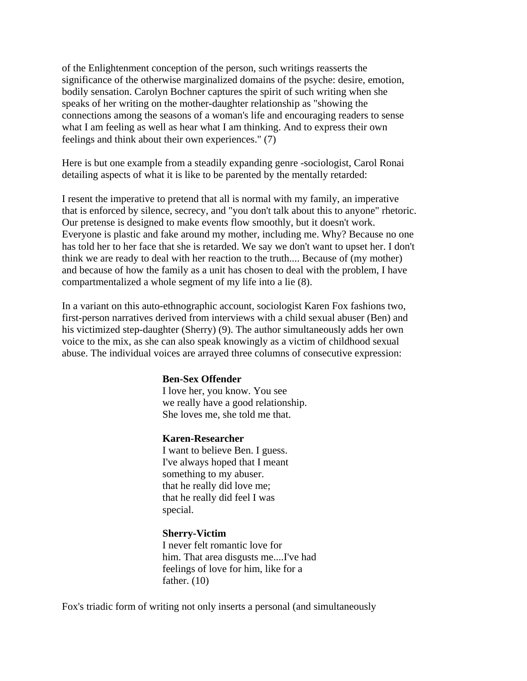of the Enlightenment conception of the person, such writings reasserts the significance of the otherwise marginalized domains of the psyche: desire, emotion, bodily sensation. Carolyn Bochner captures the spirit of such writing when she speaks of her writing on the mother-daughter relationship as "showing the connections among the seasons of a woman's life and encouraging readers to sense what I am feeling as well as hear what I am thinking. And to express their own feelings and think about their own experiences." (7)

Here is but one example from a steadily expanding genre -sociologist, Carol Ronai detailing aspects of what it is like to be parented by the mentally retarded:

I resent the imperative to pretend that all is normal with my family, an imperative that is enforced by silence, secrecy, and "you don't talk about this to anyone" rhetoric. Our pretense is designed to make events flow smoothly, but it doesn't work. Everyone is plastic and fake around my mother, including me. Why? Because no one has told her to her face that she is retarded. We say we don't want to upset her. I don't think we are ready to deal with her reaction to the truth.... Because of (my mother) and because of how the family as a unit has chosen to deal with the problem, I have compartmentalized a whole segment of my life into a lie (8).

In a variant on this auto-ethnographic account, sociologist Karen Fox fashions two, first-person narratives derived from interviews with a child sexual abuser (Ben) and his victimized step-daughter (Sherry) (9). The author simultaneously adds her own voice to the mix, as she can also speak knowingly as a victim of childhood sexual abuse. The individual voices are arrayed three columns of consecutive expression:

#### **Ben-Sex Offender**

I love her, you know. You see we really have a good relationship. She loves me, she told me that.

#### **Karen-Researcher**

I want to believe Ben. I guess. I've always hoped that I meant something to my abuser. that he really did love me; that he really did feel I was special.

#### **Sherry-Victim**

I never felt romantic love for him. That area disgusts me....I've had feelings of love for him, like for a father. (10)

Fox's triadic form of writing not only inserts a personal (and simultaneously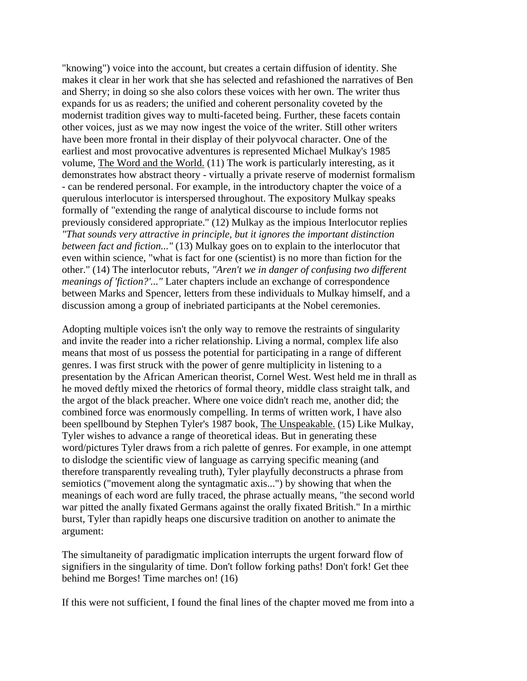"knowing") voice into the account, but creates a certain diffusion of identity. She makes it clear in her work that she has selected and refashioned the narratives of Ben and Sherry; in doing so she also colors these voices with her own. The writer thus expands for us as readers; the unified and coherent personality coveted by the modernist tradition gives way to multi-faceted being. Further, these facets contain other voices, just as we may now ingest the voice of the writer. Still other writers have been more frontal in their display of their polyvocal character. One of the earliest and most provocative adventures is represented Michael Mulkay's 1985 volume, The Word and the World. (11) The work is particularly interesting, as it demonstrates how abstract theory - virtually a private reserve of modernist formalism - can be rendered personal. For example, in the introductory chapter the voice of a querulous interlocutor is interspersed throughout. The expository Mulkay speaks formally of "extending the range of analytical discourse to include forms not previously considered appropriate." (12) Mulkay as the impious Interlocutor replies *"That sounds very attractive in principle, but it ignores the important distinction between fact and fiction..."* (13) Mulkay goes on to explain to the interlocutor that even within science, "what is fact for one (scientist) is no more than fiction for the other." (14) The interlocutor rebuts, *"Aren't we in danger of confusing two different meanings of 'fiction?'..."* Later chapters include an exchange of correspondence between Marks and Spencer, letters from these individuals to Mulkay himself, and a discussion among a group of inebriated participants at the Nobel ceremonies.

Adopting multiple voices isn't the only way to remove the restraints of singularity and invite the reader into a richer relationship. Living a normal, complex life also means that most of us possess the potential for participating in a range of different genres. I was first struck with the power of genre multiplicity in listening to a presentation by the African American theorist, Cornel West. West held me in thrall as he moved deftly mixed the rhetorics of formal theory, middle class straight talk, and the argot of the black preacher. Where one voice didn't reach me, another did; the combined force was enormously compelling. In terms of written work, I have also been spellbound by Stephen Tyler's 1987 book, The Unspeakable. (15) Like Mulkay, Tyler wishes to advance a range of theoretical ideas. But in generating these word/pictures Tyler draws from a rich palette of genres. For example, in one attempt to dislodge the scientific view of language as carrying specific meaning (and therefore transparently revealing truth), Tyler playfully deconstructs a phrase from semiotics ("movement along the syntagmatic axis...") by showing that when the meanings of each word are fully traced, the phrase actually means, "the second world war pitted the anally fixated Germans against the orally fixated British." In a mirthic burst, Tyler than rapidly heaps one discursive tradition on another to animate the argument:

The simultaneity of paradigmatic implication interrupts the urgent forward flow of signifiers in the singularity of time. Don't follow forking paths! Don't fork! Get thee behind me Borges! Time marches on! (16)

If this were not sufficient, I found the final lines of the chapter moved me from into a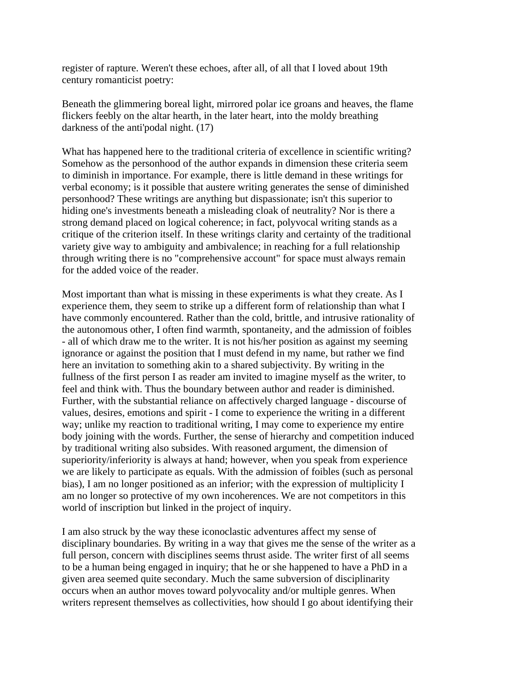register of rapture. Weren't these echoes, after all, of all that I loved about 19th century romanticist poetry:

Beneath the glimmering boreal light, mirrored polar ice groans and heaves, the flame flickers feebly on the altar hearth, in the later heart, into the moldy breathing darkness of the anti'podal night. (17)

What has happened here to the traditional criteria of excellence in scientific writing? Somehow as the personhood of the author expands in dimension these criteria seem to diminish in importance. For example, there is little demand in these writings for verbal economy; is it possible that austere writing generates the sense of diminished personhood? These writings are anything but dispassionate; isn't this superior to hiding one's investments beneath a misleading cloak of neutrality? Nor is there a strong demand placed on logical coherence; in fact, polyvocal writing stands as a critique of the criterion itself. In these writings clarity and certainty of the traditional variety give way to ambiguity and ambivalence; in reaching for a full relationship through writing there is no "comprehensive account" for space must always remain for the added voice of the reader.

Most important than what is missing in these experiments is what they create. As I experience them, they seem to strike up a different form of relationship than what I have commonly encountered. Rather than the cold, brittle, and intrusive rationality of the autonomous other, I often find warmth, spontaneity, and the admission of foibles - all of which draw me to the writer. It is not his/her position as against my seeming ignorance or against the position that I must defend in my name, but rather we find here an invitation to something akin to a shared subjectivity. By writing in the fullness of the first person I as reader am invited to imagine myself as the writer, to feel and think with. Thus the boundary between author and reader is diminished. Further, with the substantial reliance on affectively charged language - discourse of values, desires, emotions and spirit - I come to experience the writing in a different way; unlike my reaction to traditional writing, I may come to experience my entire body joining with the words. Further, the sense of hierarchy and competition induced by traditional writing also subsides. With reasoned argument, the dimension of superiority/inferiority is always at hand; however, when you speak from experience we are likely to participate as equals. With the admission of foibles (such as personal bias), I am no longer positioned as an inferior; with the expression of multiplicity I am no longer so protective of my own incoherences. We are not competitors in this world of inscription but linked in the project of inquiry.

I am also struck by the way these iconoclastic adventures affect my sense of disciplinary boundaries. By writing in a way that gives me the sense of the writer as a full person, concern with disciplines seems thrust aside. The writer first of all seems to be a human being engaged in inquiry; that he or she happened to have a PhD in a given area seemed quite secondary. Much the same subversion of disciplinarity occurs when an author moves toward polyvocality and/or multiple genres. When writers represent themselves as collectivities, how should I go about identifying their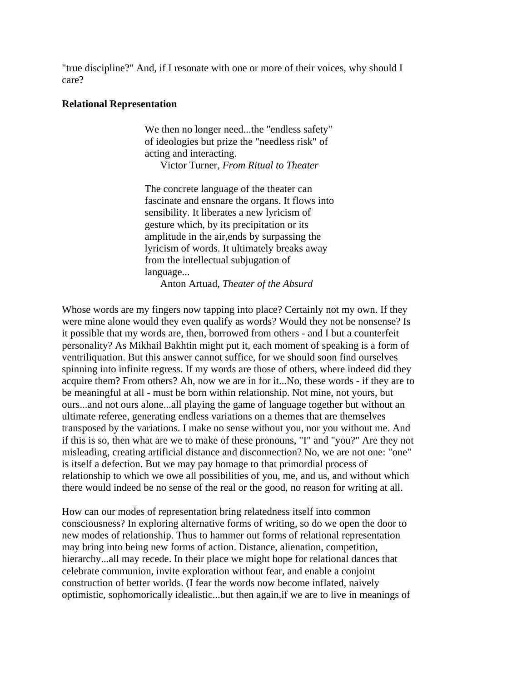"true discipline?" And, if I resonate with one or more of their voices, why should I care?

#### **Relational Representation**

We then no longer need...the "endless safety" of ideologies but prize the "needless risk" of acting and interacting.

Victor Turner, *From Ritual to Theater*

The concrete language of the theater can fascinate and ensnare the organs. It flows into sensibility. It liberates a new lyricism of gesture which, by its precipitation or its amplitude in the air,ends by surpassing the lyricism of words. It ultimately breaks away from the intellectual subjugation of language...

Anton Artuad, *Theater of the Absurd*

Whose words are my fingers now tapping into place? Certainly not my own. If they were mine alone would they even qualify as words? Would they not be nonsense? Is it possible that my words are, then, borrowed from others - and I but a counterfeit personality? As Mikhail Bakhtin might put it, each moment of speaking is a form of ventriliquation. But this answer cannot suffice, for we should soon find ourselves spinning into infinite regress. If my words are those of others, where indeed did they acquire them? From others? Ah, now we are in for it...No, these words - if they are to be meaningful at all - must be born within relationship. Not mine, not yours, but ours...and not ours alone...all playing the game of language together but without an ultimate referee, generating endless variations on a themes that are themselves transposed by the variations. I make no sense without you, nor you without me. And if this is so, then what are we to make of these pronouns, "I" and "you?" Are they not misleading, creating artificial distance and disconnection? No, we are not one: "one" is itself a defection. But we may pay homage to that primordial process of relationship to which we owe all possibilities of you, me, and us, and without which there would indeed be no sense of the real or the good, no reason for writing at all.

How can our modes of representation bring relatedness itself into common consciousness? In exploring alternative forms of writing, so do we open the door to new modes of relationship. Thus to hammer out forms of relational representation may bring into being new forms of action. Distance, alienation, competition, hierarchy...all may recede. In their place we might hope for relational dances that celebrate communion, invite exploration without fear, and enable a conjoint construction of better worlds. (I fear the words now become inflated, naively optimistic, sophomorically idealistic...but then again,if we are to live in meanings of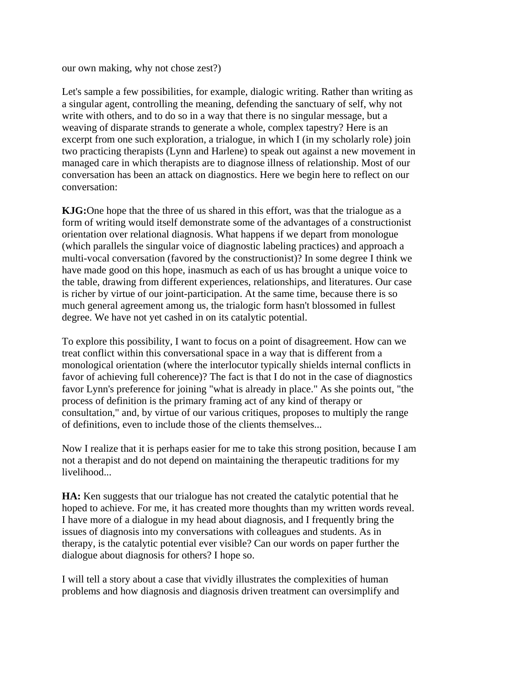our own making, why not chose zest?)

Let's sample a few possibilities, for example, dialogic writing. Rather than writing as a singular agent, controlling the meaning, defending the sanctuary of self, why not write with others, and to do so in a way that there is no singular message, but a weaving of disparate strands to generate a whole, complex tapestry? Here is an excerpt from one such exploration, a trialogue, in which I (in my scholarly role) join two practicing therapists (Lynn and Harlene) to speak out against a new movement in managed care in which therapists are to diagnose illness of relationship. Most of our conversation has been an attack on diagnostics. Here we begin here to reflect on our conversation:

**KJG:**One hope that the three of us shared in this effort, was that the trialogue as a form of writing would itself demonstrate some of the advantages of a constructionist orientation over relational diagnosis. What happens if we depart from monologue (which parallels the singular voice of diagnostic labeling practices) and approach a multi-vocal conversation (favored by the constructionist)? In some degree I think we have made good on this hope, inasmuch as each of us has brought a unique voice to the table, drawing from different experiences, relationships, and literatures. Our case is richer by virtue of our joint-participation. At the same time, because there is so much general agreement among us, the trialogic form hasn't blossomed in fullest degree. We have not yet cashed in on its catalytic potential.

To explore this possibility, I want to focus on a point of disagreement. How can we treat conflict within this conversational space in a way that is different from a monological orientation (where the interlocutor typically shields internal conflicts in favor of achieving full coherence)? The fact is that I do not in the case of diagnostics favor Lynn's preference for joining "what is already in place." As she points out, "the process of definition is the primary framing act of any kind of therapy or consultation," and, by virtue of our various critiques, proposes to multiply the range of definitions, even to include those of the clients themselves...

Now I realize that it is perhaps easier for me to take this strong position, because I am not a therapist and do not depend on maintaining the therapeutic traditions for my livelihood...

**HA:** Ken suggests that our trialogue has not created the catalytic potential that he hoped to achieve. For me, it has created more thoughts than my written words reveal. I have more of a dialogue in my head about diagnosis, and I frequently bring the issues of diagnosis into my conversations with colleagues and students. As in therapy, is the catalytic potential ever visible? Can our words on paper further the dialogue about diagnosis for others? I hope so.

I will tell a story about a case that vividly illustrates the complexities of human problems and how diagnosis and diagnosis driven treatment can oversimplify and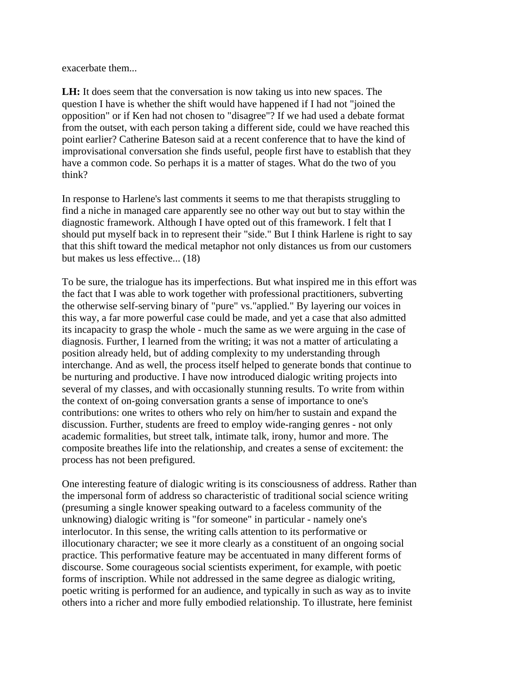exacerbate them...

**LH:** It does seem that the conversation is now taking us into new spaces. The question I have is whether the shift would have happened if I had not "joined the opposition" or if Ken had not chosen to "disagree"? If we had used a debate format from the outset, with each person taking a different side, could we have reached this point earlier? Catherine Bateson said at a recent conference that to have the kind of improvisational conversation she finds useful, people first have to establish that they have a common code. So perhaps it is a matter of stages. What do the two of you think?

In response to Harlene's last comments it seems to me that therapists struggling to find a niche in managed care apparently see no other way out but to stay within the diagnostic framework. Although I have opted out of this framework. I felt that I should put myself back in to represent their "side." But I think Harlene is right to say that this shift toward the medical metaphor not only distances us from our customers but makes us less effective... (18)

To be sure, the trialogue has its imperfections. But what inspired me in this effort was the fact that I was able to work together with professional practitioners, subverting the otherwise self-serving binary of "pure" vs."applied." By layering our voices in this way, a far more powerful case could be made, and yet a case that also admitted its incapacity to grasp the whole - much the same as we were arguing in the case of diagnosis. Further, I learned from the writing; it was not a matter of articulating a position already held, but of adding complexity to my understanding through interchange. And as well, the process itself helped to generate bonds that continue to be nurturing and productive. I have now introduced dialogic writing projects into several of my classes, and with occasionally stunning results. To write from within the context of on-going conversation grants a sense of importance to one's contributions: one writes to others who rely on him/her to sustain and expand the discussion. Further, students are freed to employ wide-ranging genres - not only academic formalities, but street talk, intimate talk, irony, humor and more. The composite breathes life into the relationship, and creates a sense of excitement: the process has not been prefigured.

One interesting feature of dialogic writing is its consciousness of address. Rather than the impersonal form of address so characteristic of traditional social science writing (presuming a single knower speaking outward to a faceless community of the unknowing) dialogic writing is "for someone" in particular - namely one's interlocutor. In this sense, the writing calls attention to its performative or illocutionary character; we see it more clearly as a constituent of an ongoing social practice. This performative feature may be accentuated in many different forms of discourse. Some courageous social scientists experiment, for example, with poetic forms of inscription. While not addressed in the same degree as dialogic writing, poetic writing is performed for an audience, and typically in such as way as to invite others into a richer and more fully embodied relationship. To illustrate, here feminist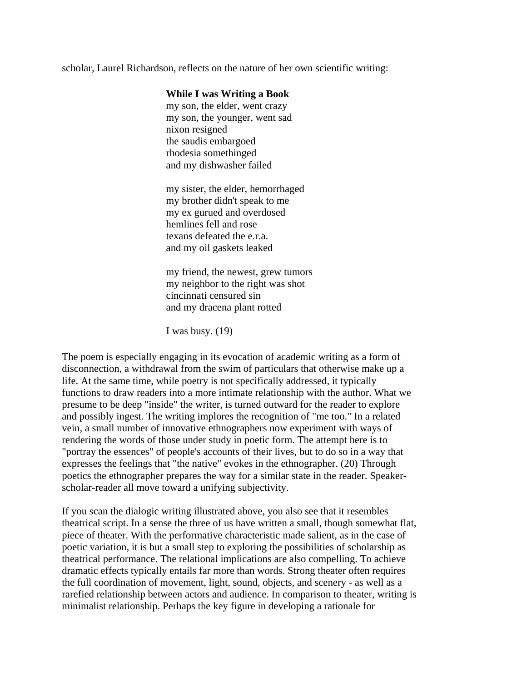scholar, Laurel Richardson, reflects on the nature of her own scientific writing:

## **While I was Writing a Book**

my son, the elder, went crazy my son, the younger, went sad nixon resigned the saudis embargoed rhodesia somethinged and my dishwasher failed

my sister, the elder, hemorrhaged my brother didn't speak to me my ex gurued and overdosed hemlines fell and rose texans defeated the e.r.a. and my oil gaskets leaked

my friend, the newest, grew tumors my neighbor to the right was shot cincinnati censured sin and my dracena plant rotted

I was busy. (19)

The poem is especially engaging in its evocation of academic writing as a form of disconnection, a withdrawal from the swim of particulars that otherwise make up a life. At the same time, while poetry is not specifically addressed, it typically functions to draw readers into a more intimate relationship with the author. What we presume to be deep "inside" the writer, is turned outward for the reader to explore and possibly ingest. The writing implores the recognition of "me too." In a related vein, a small number of innovative ethnographers now experiment with ways of rendering the words of those under study in poetic form. The attempt here is to "portray the essences" of people's accounts of their lives, but to do so in a way that expresses the feelings that "the native" evokes in the ethnographer. (20) Through poetics the ethnographer prepares the way for a similar state in the reader. Speakerscholar-reader all move toward a unifying subjectivity.

If you scan the dialogic writing illustrated above, you also see that it resembles theatrical script. In a sense the three of us have written a small, though somewhat flat, piece of theater. With the performative characteristic made salient, as in the case of poetic variation, it is but a small step to exploring the possibilities of scholarship as theatrical performance. The relational implications are also compelling. To achieve dramatic effects typically entails far more than words. Strong theater often requires the full coordination of movement, light, sound, objects, and scenery - as well as a rarefied relationship between actors and audience. In comparison to theater, writing is minimalist relationship. Perhaps the key figure in developing a rationale for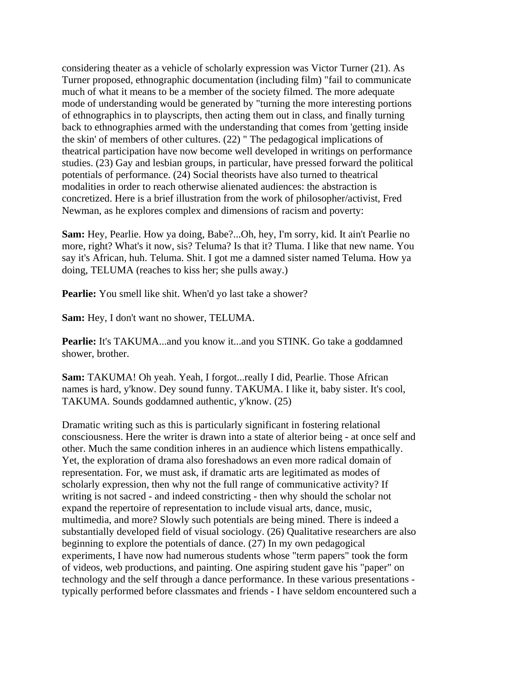considering theater as a vehicle of scholarly expression was Victor Turner (21). As Turner proposed, ethnographic documentation (including film) "fail to communicate much of what it means to be a member of the society filmed. The more adequate mode of understanding would be generated by "turning the more interesting portions of ethnographics in to playscripts, then acting them out in class, and finally turning back to ethnographies armed with the understanding that comes from 'getting inside the skin' of members of other cultures. (22) " The pedagogical implications of theatrical participation have now become well developed in writings on performance studies. (23) Gay and lesbian groups, in particular, have pressed forward the political potentials of performance. (24) Social theorists have also turned to theatrical modalities in order to reach otherwise alienated audiences: the abstraction is concretized. Here is a brief illustration from the work of philosopher/activist, Fred Newman, as he explores complex and dimensions of racism and poverty:

**Sam:** Hey, Pearlie. How ya doing, Babe?...Oh, hey, I'm sorry, kid. It ain't Pearlie no more, right? What's it now, sis? Teluma? Is that it? Tluma. I like that new name. You say it's African, huh. Teluma. Shit. I got me a damned sister named Teluma. How ya doing, TELUMA (reaches to kiss her; she pulls away.)

**Pearlie:** You smell like shit. When'd yo last take a shower?

**Sam:** Hey, I don't want no shower, TELUMA.

**Pearlie:** It's TAKUMA...and you know it...and you STINK. Go take a goddamned shower, brother.

**Sam:** TAKUMA! Oh yeah. Yeah, I forgot...really I did, Pearlie. Those African names is hard, y'know. Dey sound funny. TAKUMA. I like it, baby sister. It's cool, TAKUMA. Sounds goddamned authentic, y'know. (25)

Dramatic writing such as this is particularly significant in fostering relational consciousness. Here the writer is drawn into a state of alterior being - at once self and other. Much the same condition inheres in an audience which listens empathically. Yet, the exploration of drama also foreshadows an even more radical domain of representation. For, we must ask, if dramatic arts are legitimated as modes of scholarly expression, then why not the full range of communicative activity? If writing is not sacred - and indeed constricting - then why should the scholar not expand the repertoire of representation to include visual arts, dance, music, multimedia, and more? Slowly such potentials are being mined. There is indeed a substantially developed field of visual sociology. (26) Qualitative researchers are also beginning to explore the potentials of dance. (27) In my own pedagogical experiments, I have now had numerous students whose "term papers" took the form of videos, web productions, and painting. One aspiring student gave his "paper" on technology and the self through a dance performance. In these various presentations typically performed before classmates and friends - I have seldom encountered such a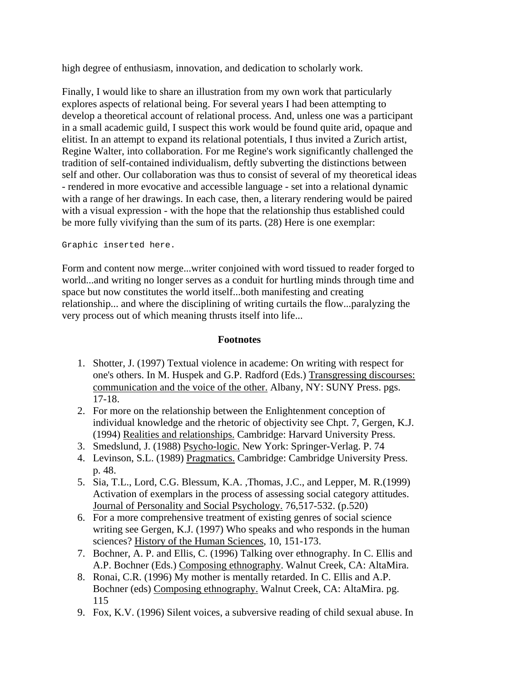high degree of enthusiasm, innovation, and dedication to scholarly work.

Finally, I would like to share an illustration from my own work that particularly explores aspects of relational being. For several years I had been attempting to develop a theoretical account of relational process. And, unless one was a participant in a small academic guild, I suspect this work would be found quite arid, opaque and elitist. In an attempt to expand its relational potentials, I thus invited a Zurich artist, Regine Walter, into collaboration. For me Regine's work significantly challenged the tradition of self-contained individualism, deftly subverting the distinctions between self and other. Our collaboration was thus to consist of several of my theoretical ideas - rendered in more evocative and accessible language - set into a relational dynamic with a range of her drawings. In each case, then, a literary rendering would be paired with a visual expression - with the hope that the relationship thus established could be more fully vivifying than the sum of its parts. (28) Here is one exemplar:

Graphic inserted here.

Form and content now merge...writer conjoined with word tissued to reader forged to world...and writing no longer serves as a conduit for hurtling minds through time and space but now constitutes the world itself...both manifesting and creating relationship... and where the disciplining of writing curtails the flow...paralyzing the very process out of which meaning thrusts itself into life...

### **Footnotes**

- 1. Shotter, J. (1997) Textual violence in academe: On writing with respect for one's others. In M. Huspek and G.P. Radford (Eds.) Transgressing discourses: communication and the voice of the other. Albany, NY: SUNY Press. pgs. 17-18.
- 2. For more on the relationship between the Enlightenment conception of individual knowledge and the rhetoric of objectivity see Chpt. 7, Gergen, K.J. (1994) Realities and relationships. Cambridge: Harvard University Press.
- 3. Smedslund, J. (1988) Psycho-logic. New York: Springer-Verlag. P. 74
- 4. Levinson, S.L. (1989) Pragmatics. Cambridge: Cambridge University Press. p. 48.
- 5. Sia, T.L., Lord, C.G. Blessum, K.A. ,Thomas, J.C., and Lepper, M. R.(1999) Activation of exemplars in the process of assessing social category attitudes. Journal of Personality and Social Psychology. 76,517-532. (p.520)
- 6. For a more comprehensive treatment of existing genres of social science writing see Gergen, K.J. (1997) Who speaks and who responds in the human sciences? History of the Human Sciences, 10, 151-173.
- 7. Bochner, A. P. and Ellis, C. (1996) Talking over ethnography. In C. Ellis and A.P. Bochner (Eds.) Composing ethnography. Walnut Creek, CA: AltaMira.
- 8. Ronai, C.R. (1996) My mother is mentally retarded. In C. Ellis and A.P. Bochner (eds) Composing ethnography. Walnut Creek, CA: AltaMira. pg. 115
- 9. Fox, K.V. (1996) Silent voices, a subversive reading of child sexual abuse. In